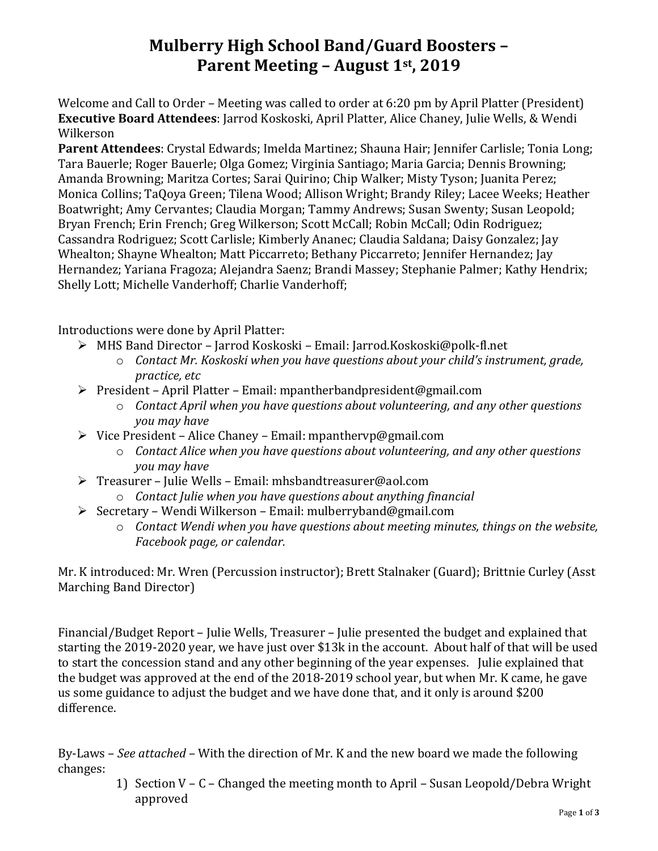## **Mulberry High School Band/Guard Boosters – Parent Meeting – August 1st, 2019**

Welcome and Call to Order – Meeting was called to order at 6:20 pm by April Platter (President) **Executive Board Attendees**: Jarrod Koskoski, April Platter, Alice Chaney, Julie Wells, & Wendi Wilkerson

**Parent Attendees**: Crystal Edwards; Imelda Martinez; Shauna Hair; Jennifer Carlisle; Tonia Long; Tara Bauerle; Roger Bauerle; Olga Gomez; Virginia Santiago; Maria Garcia; Dennis Browning; Amanda Browning; Maritza Cortes; Sarai Quirino; Chip Walker; Misty Tyson; Juanita Perez; Monica Collins; TaQoya Green; Tilena Wood; Allison Wright; Brandy Riley; Lacee Weeks; Heather Boatwright; Amy Cervantes; Claudia Morgan; Tammy Andrews; Susan Swenty; Susan Leopold; Bryan French; Erin French; Greg Wilkerson; Scott McCall; Robin McCall; Odin Rodriguez; Cassandra Rodriguez; Scott Carlisle; Kimberly Ananec; Claudia Saldana; Daisy Gonzalez; Jay Whealton; Shayne Whealton; Matt Piccarreto; Bethany Piccarreto; Jennifer Hernandez; Jay Hernandez; Yariana Fragoza; Alejandra Saenz; Brandi Massey; Stephanie Palmer; Kathy Hendrix; Shelly Lott; Michelle Vanderhoff; Charlie Vanderhoff;

Introductions were done by April Platter:

- ➢ MHS Band Director Jarrod Koskoski Email: Jarrod.Koskoski@polk-fl.net
	- o *Contact Mr. Koskoski when you have questions about your child's instrument, grade, practice, etc*
- ➢ President April Platter Email: mpantherbandpresident@gmail.com
	- o *Contact April when you have questions about volunteering, and any other questions you may have*
- ➢ Vice President Alice Chaney Email: mpanthervp@gmail.com
	- o *Contact Alice when you have questions about volunteering, and any other questions you may have*
- ➢ Treasurer Julie Wells Email: mhsbandtreasurer@aol.com
	- o *Contact Julie when you have questions about anything financial*
- ➢ Secretary Wendi Wilkerson Email: mulberryband@gmail.com
	- o *Contact Wendi when you have questions about meeting minutes, things on the website, Facebook page, or calendar.*

Mr. K introduced: Mr. Wren (Percussion instructor); Brett Stalnaker (Guard); Brittnie Curley (Asst Marching Band Director)

Financial/Budget Report – Julie Wells, Treasurer – Julie presented the budget and explained that starting the 2019-2020 year, we have just over \$13k in the account. About half of that will be used to start the concession stand and any other beginning of the year expenses. Julie explained that the budget was approved at the end of the 2018-2019 school year, but when Mr. K came, he gave us some guidance to adjust the budget and we have done that, and it only is around \$200 difference.

By-Laws – *See attached –* With the direction of Mr. K and the new board we made the following changes:

> 1) Section V – C – Changed the meeting month to April – Susan Leopold/Debra Wright approved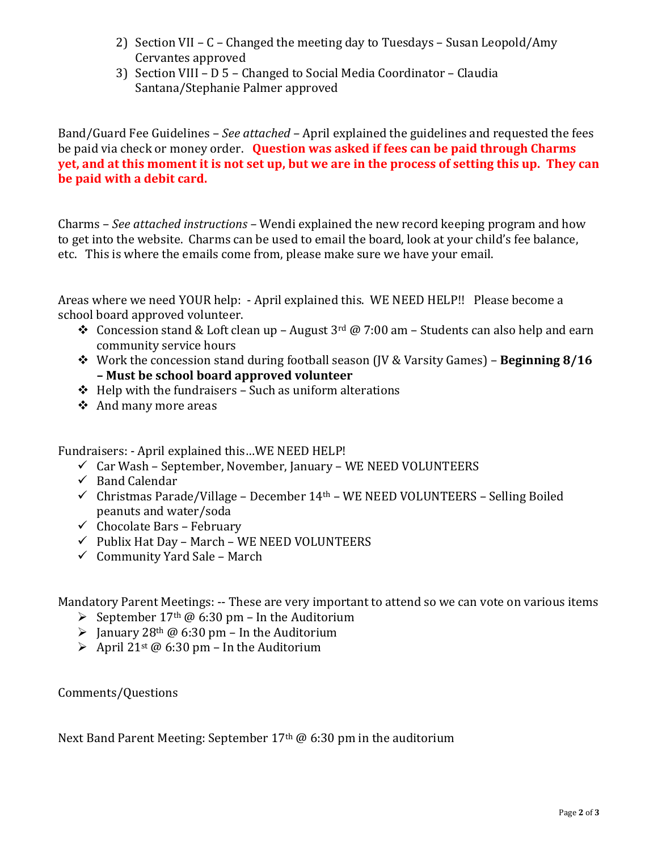- 2) Section VII C Changed the meeting day to Tuesdays Susan Leopold/Amy Cervantes approved
- 3) Section VIII D 5 Changed to Social Media Coordinator Claudia Santana/Stephanie Palmer approved

Band/Guard Fee Guidelines – *See attached –* April explained the guidelines and requested the fees be paid via check or money order. **Question was asked if fees can be paid through Charms yet, and at this moment it is not set up, but we are in the process of setting this up. They can be paid with a debit card.**

Charms – *See attached instructions –* Wendi explained the new record keeping program and how to get into the website. Charms can be used to email the board, look at your child's fee balance, etc. This is where the emails come from, please make sure we have your email.

Areas where we need YOUR help: - April explained this. WE NEED HELP!! Please become a school board approved volunteer.

- ◆ Concession stand & Loft clean up August  $3^{rd}$  @ 7:00 am Students can also help and earn community service hours
- ❖ Work the concession stand during football season (JV & Varsity Games) **Beginning 8/16 – Must be school board approved volunteer**
- $\triangle$  Help with the fundraisers Such as uniform alterations
- ❖ And many more areas

Fundraisers: - April explained this…WE NEED HELP!

- ✓ Car Wash September, November, January WE NEED VOLUNTEERS
- $\checkmark$  Band Calendar
- $\checkmark$  Christmas Parade/Village December 14<sup>th</sup> WE NEED VOLUNTEERS Selling Boiled peanuts and water/soda
- $\checkmark$  Chocolate Bars February
- $\checkmark$  Publix Hat Day March WE NEED VOLUNTEERS
- $\checkmark$  Community Yard Sale March

Mandatory Parent Meetings: -- These are very important to attend so we can vote on various items

- $\triangleright$  September 17<sup>th</sup> @ 6:30 pm In the Auditorium
- $\triangleright$  January 28<sup>th</sup> @ 6:30 pm In the Auditorium
- $\triangleright$  April 21<sup>st</sup> @ 6:30 pm In the Auditorium

Comments/Questions

Next Band Parent Meeting: September 17<sup>th</sup> @ 6:30 pm in the auditorium